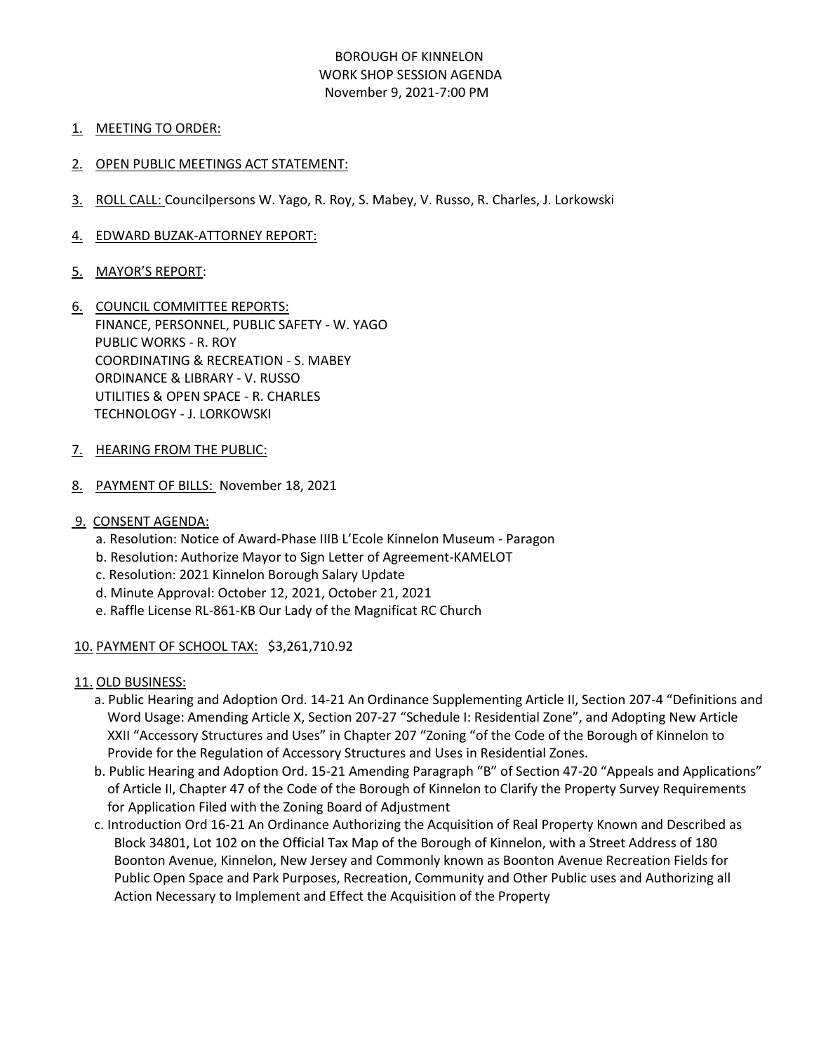## BOROUGH OF KINNELON WORK SHOP SESSION AGENDA November 9, 2021-7:00 PM

- 1. MEETING TO ORDER:
- 2. OPEN PUBLIC MEETINGS ACT STATEMENT:
- 3. ROLL CALL: Councilpersons W. Yago, R. Roy, S. Mabey, V. Russo, R. Charles, J. Lorkowski
- 4. EDWARD BUZAK-ATTORNEY REPORT:
- 5. MAYOR'S REPORT:
- 6. COUNCIL COMMITTEE REPORTS: FINANCE, PERSONNEL, PUBLIC SAFETY - W. YAGO PUBLIC WORKS - R. ROY COORDINATING & RECREATION - S. MABEY ORDINANCE & LIBRARY - V. RUSSO UTILITIES & OPEN SPACE - R. CHARLES TECHNOLOGY - J. LORKOWSKI
- 7. HEARING FROM THE PUBLIC:
- 8. PAYMENT OF BILLS: November 18, 2021
- 9. CONSENT AGENDA:
	- a. Resolution: Notice of Award-Phase IIIB L'Ecole Kinnelon Museum Paragon
	- b. Resolution: Authorize Mayor to Sign Letter of Agreement-KAMELOT
	- c. Resolution: 2021 Kinnelon Borough Salary Update
	- d. Minute Approval: October 12, 2021, October 21, 2021
	- e. Raffle License RL-861-KB Our Lady of the Magnificat RC Church
- 10. PAYMENT OF SCHOOL TAX: \$3,261,710.92
- 11. OLD BUSINESS:
	- a. Public Hearing and Adoption Ord. 14-21 An Ordinance Supplementing Article II, Section 207-4 "Definitions and Word Usage: Amending Article X, Section 207-27 "Schedule I: Residential Zone", and Adopting New Article XXII "Accessory Structures and Uses" in Chapter 207 "Zoning "of the Code of the Borough of Kinnelon to Provide for the Regulation of Accessory Structures and Uses in Residential Zones.
	- b. Public Hearing and Adoption Ord. 15-21 Amending Paragraph "B" of Section 47-20 "Appeals and Applications" of Article II, Chapter 47 of the Code of the Borough of Kinnelon to Clarify the Property Survey Requirements for Application Filed with the Zoning Board of Adjustment
	- c. Introduction Ord 16-21 An Ordinance Authorizing the Acquisition of Real Property Known and Described as Block 34801, Lot 102 on the Official Tax Map of the Borough of Kinnelon, with a Street Address of 180 Boonton Avenue, Kinnelon, New Jersey and Commonly known as Boonton Avenue Recreation Fields for Public Open Space and Park Purposes, Recreation, Community and Other Public uses and Authorizing all Action Necessary to Implement and Effect the Acquisition of the Property